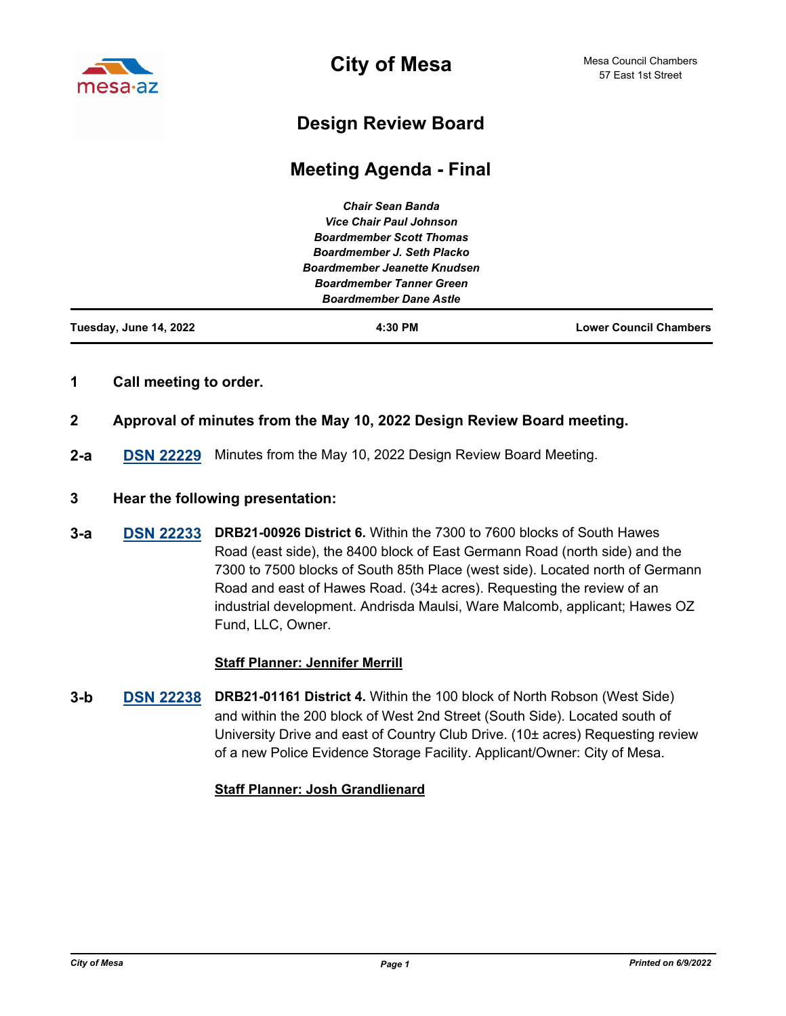

**City of Mesa**

# **Design Review Board**

# **Meeting Agenda - Final**

| Tuesday, June 14, 2022 | 4:30 PM                             | <b>Lower Council Chambers</b> |
|------------------------|-------------------------------------|-------------------------------|
|                        | <b>Boardmember Dane Astle</b>       |                               |
|                        | <b>Boardmember Tanner Green</b>     |                               |
|                        | <b>Boardmember Jeanette Knudsen</b> |                               |
|                        | Boardmember J. Seth Placko          |                               |
|                        | <b>Boardmember Scott Thomas</b>     |                               |
|                        | <b>Vice Chair Paul Johnson</b>      |                               |
|                        | <b>Chair Sean Banda</b>             |                               |

# **1 Call meeting to order.**

- **2 Approval of minutes from the May 10, 2022 Design Review Board meeting.**
- **2-a [DSN 22229](http://mesa.legistar.com/gateway.aspx?m=l&id=/matter.aspx?key=18702)** Minutes from the May 10, 2022 Design Review Board Meeting.

## **3 Hear the following presentation:**

**[DSN 22233](http://mesa.legistar.com/gateway.aspx?m=l&id=/matter.aspx?key=18703) DRB21-00926 District 6.** Within the 7300 to 7600 blocks of South Hawes Road (east side), the 8400 block of East Germann Road (north side) and the 7300 to 7500 blocks of South 85th Place (west side). Located north of Germann Road and east of Hawes Road. (34± acres). Requesting the review of an industrial development. Andrisda Maulsi, Ware Malcomb, applicant; Hawes OZ Fund, LLC, Owner. **3-a**

## **Staff Planner: Jennifer Merrill**

**[DSN 22238](http://mesa.legistar.com/gateway.aspx?m=l&id=/matter.aspx?key=18704) DRB21-01161 District 4. Within the 100 block of North Robson (West Side)** and within the 200 block of West 2nd Street (South Side). Located south of University Drive and east of Country Club Drive. (10± acres) Requesting review of a new Police Evidence Storage Facility. Applicant/Owner: City of Mesa. **3-b**

## **Staff Planner: Josh Grandlienard**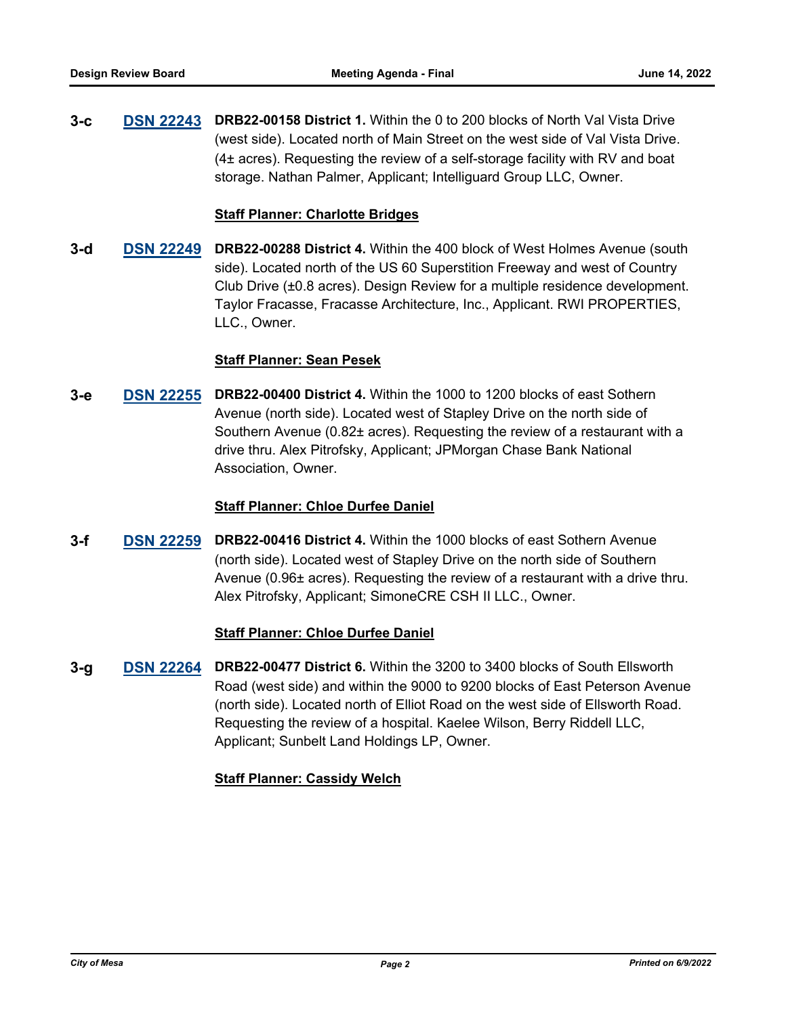**[DSN 22243](http://mesa.legistar.com/gateway.aspx?m=l&id=/matter.aspx?key=18705) DRB22-00158 District 1.** Within the 0 to 200 blocks of North Val Vista Drive (west side). Located north of Main Street on the west side of Val Vista Drive. (4± acres). Requesting the review of a self-storage facility with RV and boat storage. Nathan Palmer, Applicant; Intelliguard Group LLC, Owner. **3-c**

#### **Staff Planner: Charlotte Bridges**

**[DSN 22249](http://mesa.legistar.com/gateway.aspx?m=l&id=/matter.aspx?key=18706) DRB22-00288 District 4.** Within the 400 block of West Holmes Avenue (south side). Located north of the US 60 Superstition Freeway and west of Country Club Drive (±0.8 acres). Design Review for a multiple residence development. Taylor Fracasse, Fracasse Architecture, Inc., Applicant. RWI PROPERTIES, LLC., Owner. **3-d**

## **Staff Planner: Sean Pesek**

**[DSN 22255](http://mesa.legistar.com/gateway.aspx?m=l&id=/matter.aspx?key=18707) DRB22-00400 District 4.** Within the 1000 to 1200 blocks of east Sothern Avenue (north side). Located west of Stapley Drive on the north side of Southern Avenue (0.82± acres). Requesting the review of a restaurant with a drive thru. Alex Pitrofsky, Applicant; JPMorgan Chase Bank National Association, Owner. **3-e**

#### **Staff Planner: Chloe Durfee Daniel**

**[DSN 22259](http://mesa.legistar.com/gateway.aspx?m=l&id=/matter.aspx?key=18708) DRB22-00416 District 4.** Within the 1000 blocks of east Sothern Avenue (north side). Located west of Stapley Drive on the north side of Southern Avenue (0.96± acres). Requesting the review of a restaurant with a drive thru. Alex Pitrofsky, Applicant; SimoneCRE CSH II LLC., Owner. **3-f**

#### **Staff Planner: Chloe Durfee Daniel**

**[DSN 22264](http://mesa.legistar.com/gateway.aspx?m=l&id=/matter.aspx?key=18709) DRB22-00477 District 6.** Within the 3200 to 3400 blocks of South Ellsworth Road (west side) and within the 9000 to 9200 blocks of East Peterson Avenue (north side). Located north of Elliot Road on the west side of Ellsworth Road. Requesting the review of a hospital. Kaelee Wilson, Berry Riddell LLC, Applicant; Sunbelt Land Holdings LP, Owner. **3-g**

## **Staff Planner: Cassidy Welch**